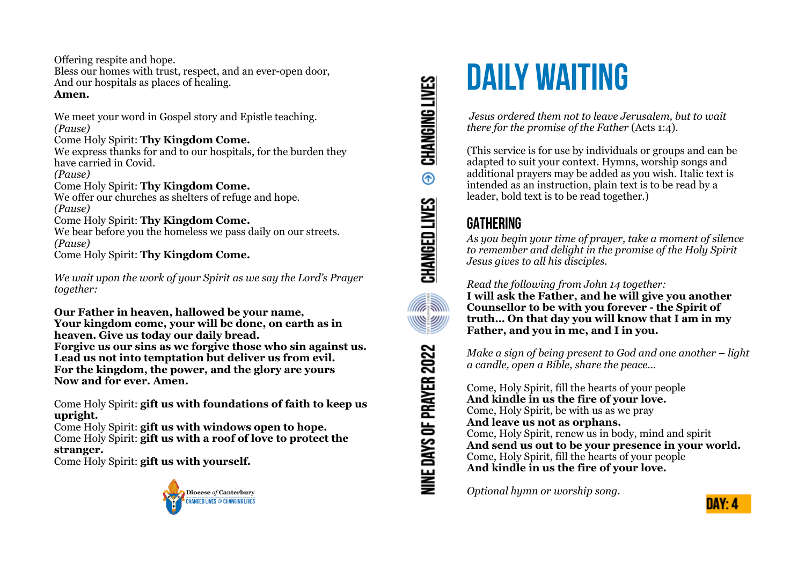Offering respite and hope.

Bless our homes with trust, respect, and an ever-open door, And our hospitals as places of healing. **Amen.**

We meet your word in Gospel story and Epistle teaching. *(Pause)* Come Holy Spirit: **Thy Kingdom Come.**

We express thanks for and to our hospitals, for the burden they have carried in Covid.

*(Pause)*

Come Holy Spirit: **Thy Kingdom Come.**

We offer our churches as shelters of refuge and hope. *(Pause)*

#### Come Holy Spirit: **Thy Kingdom Come.**

We bear before you the homeless we pass daily on our streets. *(Pause)* Come Holy Spirit: **Thy Kingdom Come.**

*We wait upon the work of your Spirit as we say the Lord's Prayer together:*

**Our Father in heaven, hallowed be your name, Your kingdom come, your will be done, on earth as in heaven. Give us today our daily bread. Forgive us our sins as we forgive those who sin against us. Lead us not into temptation but deliver us from evil. For the kingdom, the power, and the glory are yours Now and for ever. Amen.**

Come Holy Spirit: **gift us with foundations of faith to keep us upright.**

Come Holy Spirit: **gift us with windows open to hope.**

Come Holy Spirit: **gift us with a roof of love to protect the stranger.**

Come Holy Spirit: **gift us with yourself.**



# CHANGING LIVES  $^{\circ}$ CHANGED LIVES **ARANT** <u>WWW</u> NINE DAYS OF PRAYER 2022

# **DAILY WAITING**

 *Jesus ordered them not to leave Jerusalem, but to wait there for the promise of the Father* (Acts 1:4).

(This service is for use by individuals or groups and can be adapted to suit your context. Hymns, worship songs and additional prayers may be added as you wish. Italic text is intended as an instruction, plain text is to be read by a leader, bold text is to be read together.)

# **GATHERING**

*As you begin your time of prayer, take a moment of silence to remember and delight in the promise of the Holy Spirit Jesus gives to all his disciples.*

*Read the following from John 14 together:* 

**I will ask the Father, and he will give you another Counsellor to be with you forever - the Spirit of truth… On that day you will know that I am in my Father, and you in me, and I in you.** 

*Make a sign of being present to God and one another – light a candle, open a Bible, share the peace…* 

Come, Holy Spirit, fill the hearts of your people **And kindle in us the fire of your love.**  Come, Holy Spirit, be with us as we pray **And leave us not as orphans.**  Come, Holy Spirit, renew us in body, mind and spirit **And send us out to be your presence in your world.**  Come, Holy Spirit, fill the hearts of your people **And kindle in us the fire of your love.**

*Optional hymn or worship song.*